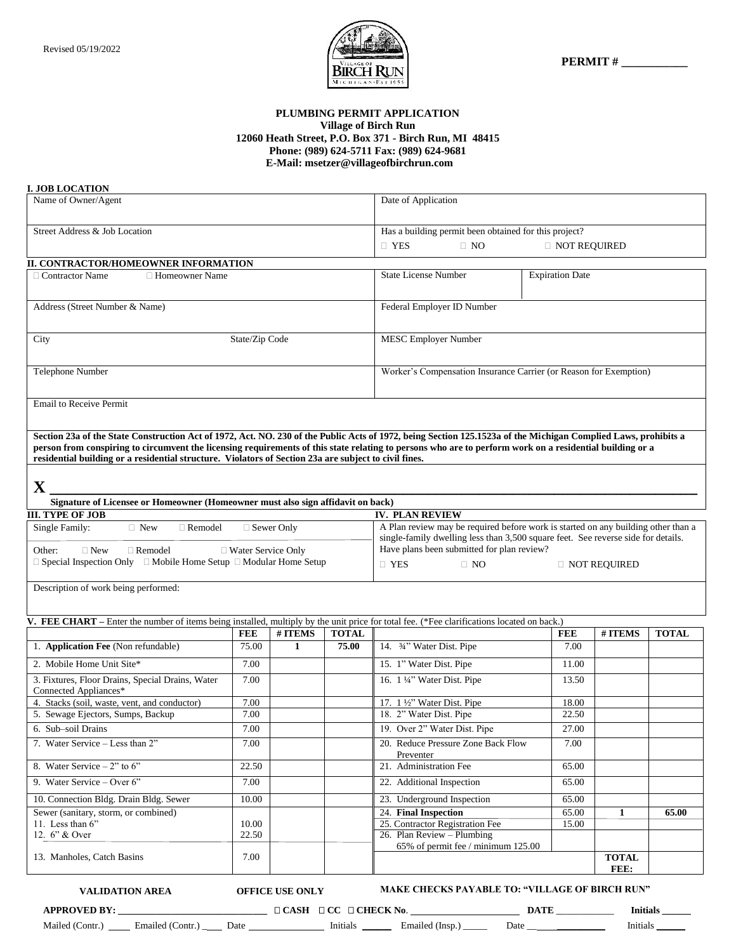

#### **PLUMBING PERMIT APPLICATION Village of Birch Run 12060 Heath Street, P.O. Box 371 - Birch Run, MI 48415 Phone: (989) 624-5711 Fax: (989) 624-9681 E-Mail: msetzer@villageofbirchrun.com**

#### **I. JOB LOCATION**

| Name of Owner/Agent                                                                                                                                                                                                                                               |            |                                        | Date of Application                                   |                                                                                                                                 |                |                      |              |
|-------------------------------------------------------------------------------------------------------------------------------------------------------------------------------------------------------------------------------------------------------------------|------------|----------------------------------------|-------------------------------------------------------|---------------------------------------------------------------------------------------------------------------------------------|----------------|----------------------|--------------|
| Street Address & Job Location                                                                                                                                                                                                                                     |            |                                        |                                                       | Has a building permit been obtained for this project?                                                                           |                |                      |              |
|                                                                                                                                                                                                                                                                   |            |                                        | $\Box$ YES<br>$\Box$ NO                               | <b>INOT REQUIRED</b>                                                                                                            |                |                      |              |
| II. CONTRACTOR/HOMEOWNER INFORMATION                                                                                                                                                                                                                              |            |                                        |                                                       |                                                                                                                                 |                |                      |              |
| $\Box$ Contractor Name<br>□ Homeowner Name                                                                                                                                                                                                                        |            |                                        | <b>State License Number</b><br><b>Expiration Date</b> |                                                                                                                                 |                |                      |              |
|                                                                                                                                                                                                                                                                   |            |                                        |                                                       |                                                                                                                                 |                |                      |              |
| Address (Street Number & Name)                                                                                                                                                                                                                                    |            |                                        | Federal Employer ID Number                            |                                                                                                                                 |                |                      |              |
|                                                                                                                                                                                                                                                                   |            |                                        |                                                       |                                                                                                                                 |                |                      |              |
| State/Zip Code<br>City                                                                                                                                                                                                                                            |            |                                        | <b>MESC Employer Number</b>                           |                                                                                                                                 |                |                      |              |
|                                                                                                                                                                                                                                                                   |            |                                        |                                                       |                                                                                                                                 |                |                      |              |
| Telephone Number                                                                                                                                                                                                                                                  |            |                                        |                                                       | Worker's Compensation Insurance Carrier (or Reason for Exemption)                                                               |                |                      |              |
|                                                                                                                                                                                                                                                                   |            |                                        |                                                       |                                                                                                                                 |                |                      |              |
| <b>Email to Receive Permit</b>                                                                                                                                                                                                                                    |            |                                        |                                                       |                                                                                                                                 |                |                      |              |
|                                                                                                                                                                                                                                                                   |            |                                        |                                                       |                                                                                                                                 |                |                      |              |
| Section 23a of the State Construction Act of 1972, Act. NO. 230 of the Public Acts of 1972, being Section 125.1523a of the Michigan Complied Laws, prohibits a                                                                                                    |            |                                        |                                                       |                                                                                                                                 |                |                      |              |
| person from conspiring to circumvent the licensing requirements of this state relating to persons who are to perform work on a residential building or a<br>residential building or a residential structure. Violators of Section 23a are subject to civil fines. |            |                                        |                                                       |                                                                                                                                 |                |                      |              |
|                                                                                                                                                                                                                                                                   |            |                                        |                                                       |                                                                                                                                 |                |                      |              |
| $\mathbf X$                                                                                                                                                                                                                                                       |            |                                        |                                                       |                                                                                                                                 |                |                      |              |
| Signature of Licensee or Homeowner (Homeowner must also sign affidavit on back)                                                                                                                                                                                   |            |                                        |                                                       |                                                                                                                                 |                |                      |              |
| <b>III. TYPE OF JOB</b>                                                                                                                                                                                                                                           |            |                                        |                                                       | <b>IV. PLAN REVIEW</b>                                                                                                          |                |                      |              |
| Single Family:<br>$\Box$ New<br>$\Box$ Remodel<br>$\Box$ Sewer Only                                                                                                                                                                                               |            |                                        |                                                       | A Plan review may be required before work is started on any building other than a                                               |                |                      |              |
| □ Water Service Only<br>Other:<br>$\Box$ New<br>$\Box$ Remodel                                                                                                                                                                                                    |            |                                        |                                                       | single-family dwelling less than 3,500 square feet. See reverse side for details.<br>Have plans been submitted for plan review? |                |                      |              |
| $\Box$ Special Inspection Only $\Box$ Mobile Home Setup $\Box$ Modular Home Setup                                                                                                                                                                                 |            |                                        |                                                       | $\Box$ YES<br>$\Box$ NO                                                                                                         |                | □ NOT REQUIRED       |              |
|                                                                                                                                                                                                                                                                   |            |                                        |                                                       |                                                                                                                                 |                |                      |              |
| Description of work being performed:                                                                                                                                                                                                                              |            |                                        |                                                       |                                                                                                                                 |                |                      |              |
|                                                                                                                                                                                                                                                                   |            |                                        |                                                       |                                                                                                                                 |                |                      |              |
| FEE CHART – Enter the number of items being installed, multiply by the unit price for total fee. (*Fee clarifications located on back.)                                                                                                                           |            |                                        |                                                       |                                                                                                                                 |                |                      |              |
|                                                                                                                                                                                                                                                                   | <b>FEE</b> | # ITEMS                                | <b>TOTAL</b>                                          |                                                                                                                                 | <b>FEE</b>     | # ITEMS              | <b>TOTAL</b> |
| 1. <b>Application Fee</b> (Non refundable)                                                                                                                                                                                                                        | 75.00      | 1                                      | 75.00                                                 | 14. <sup>3</sup> / <sub>4</sub> " Water Dist. Pipe                                                                              | 7.00           |                      |              |
| 2. Mobile Home Unit Site*                                                                                                                                                                                                                                         | 7.00       |                                        |                                                       | 15. 1" Water Dist. Pipe                                                                                                         | 11.00          |                      |              |
| 3. Fixtures, Floor Drains, Special Drains, Water                                                                                                                                                                                                                  | 7.00       |                                        |                                                       | 16. 1 1/4" Water Dist. Pipe                                                                                                     | 13.50          |                      |              |
| Connected Appliances*<br>4. Stacks (soil, waste, vent, and conductor)                                                                                                                                                                                             | 7.00       |                                        |                                                       | 17. $1\frac{1}{2}$ " Water Dist. Pipe                                                                                           | 18.00          |                      |              |
| 5. Sewage Ejectors, Sumps, Backup                                                                                                                                                                                                                                 | 7.00       |                                        |                                                       | 18. 2" Water Dist. Pipe                                                                                                         | 22.50          |                      |              |
| 6. Sub-soil Drains                                                                                                                                                                                                                                                | 7.00       |                                        |                                                       | 19. Over 2" Water Dist. Pipe                                                                                                    | 27.00          |                      |              |
| 7. Water Service - Less than 2"                                                                                                                                                                                                                                   | 7.00       |                                        |                                                       | 20. Reduce Pressure Zone Back Flow                                                                                              | 7.00           |                      |              |
| 8. Water Service $-2$ " to 6"                                                                                                                                                                                                                                     | 22.50      |                                        |                                                       | Preventer<br>21. Administration Fee                                                                                             | 65.00          |                      |              |
| 9. Water Service – Over 6"                                                                                                                                                                                                                                        | 7.00       |                                        |                                                       | 22. Additional Inspection                                                                                                       | 65.00          |                      |              |
|                                                                                                                                                                                                                                                                   |            |                                        |                                                       |                                                                                                                                 |                |                      |              |
| 10. Connection Bldg. Drain Bldg. Sewer<br>Sewer (sanitary, storm, or combined)                                                                                                                                                                                    | 10.00      |                                        |                                                       | 23. Underground Inspection<br>24. Final Inspection                                                                              | 65.00          |                      |              |
| 11. Less than 6"                                                                                                                                                                                                                                                  | 10.00      |                                        |                                                       | 25. Contractor Registration Fee                                                                                                 | 65.00<br>15.00 | 1                    | 65.00        |
| 12. 6" & Over                                                                                                                                                                                                                                                     | 22.50      |                                        |                                                       | 26. Plan Review - Plumbing                                                                                                      |                |                      |              |
|                                                                                                                                                                                                                                                                   |            |                                        |                                                       | 65% of permit fee / minimum 125.00                                                                                              |                |                      |              |
| 13. Manholes, Catch Basins                                                                                                                                                                                                                                        | 7.00       |                                        |                                                       |                                                                                                                                 |                | <b>TOTAL</b><br>FEE: |              |
|                                                                                                                                                                                                                                                                   |            |                                        |                                                       | <b>MAKE CHECKS PAYABLE TO: "VILLAGE OF BIRCH RUN"</b>                                                                           |                |                      |              |
| <b>VALIDATION AREA</b>                                                                                                                                                                                                                                            |            | OFFICE USE ONLY                        |                                                       |                                                                                                                                 |                |                      |              |
| <b>APPROVED BY:</b>                                                                                                                                                                                                                                               |            | $\Box$ CASH $\Box$ CC $\Box$ CHECK No. |                                                       |                                                                                                                                 | <b>DATE</b>    | <b>Initials</b>      |              |

Mailed (Contr.) \_\_\_\_\_ Emailed (Contr.) \_\_\_\_\_ Date \_\_\_\_\_\_\_\_\_\_\_\_\_\_\_ Initials \_\_\_\_\_\_ Emailed (Insp.) \_\_\_\_\_\_ Date \_\_\_\_\_\_\_\_\_\_\_\_\_\_\_ Initials \_\_\_\_\_\_